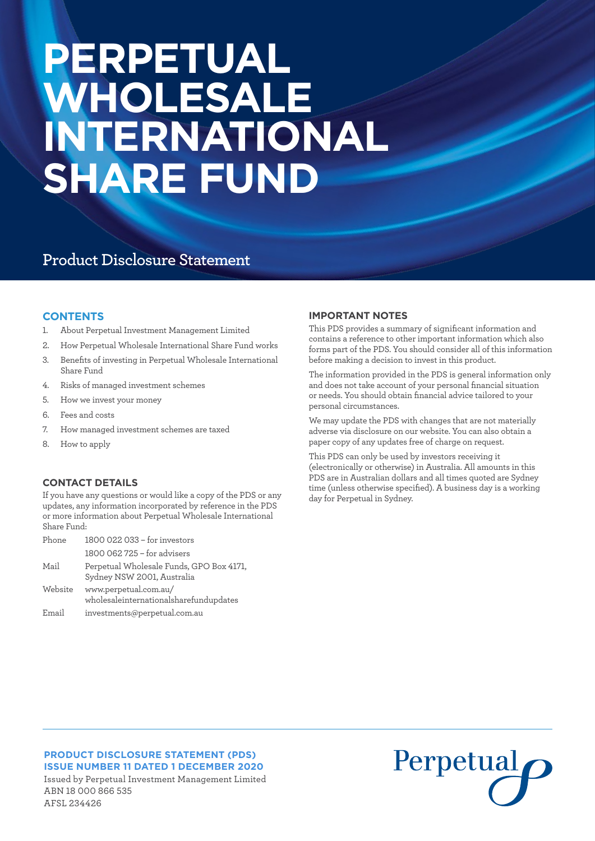# **PERPETUAL WHOLESALE INTERNATIONAL SHARE FUND**

## **Product Disclosure Statement**

#### **CONTENTS**

- 1. About Perpetual Investment Management Limited
- 2. How Perpetual Wholesale International Share Fund works
- 3. Benefits of investing in Perpetual Wholesale International Share Fund
- 4. Risks of managed investment schemes
- 5. How we invest your money
- 6. Fees and costs
- 7. How managed investment schemes are taxed
- 8. How to apply

AFSL 234426

#### **CONTACT DETAILS**

If you have any questions or would like a copy of the PDS or any updates, any information incorporated by reference in the PDS or more information about Perpetual Wholesale International Share Fund:

| Phone   | 1800 022 033 - for investors                                           |
|---------|------------------------------------------------------------------------|
|         | 1800 062 725 - for advisers                                            |
| Mail    | Perpetual Wholesale Funds, GPO Box 4171,<br>Sydney NSW 2001, Australia |
| Website | www.perpetual.com.au/<br>wholesaleinternationalsharefundupdates        |
| Email   | investments@perpetual.com.au                                           |

#### **IMPORTANT NOTES**

This PDS provides a summary of significant information and contains a reference to other important information which also forms part of the PDS. You should consider all of this information before making a decision to invest in this product.

The information provided in the PDS is general information only and does not take account of your personal financial situation or needs. You should obtain financial advice tailored to your personal circumstances.

We may update the PDS with changes that are not materially adverse via disclosure on our website. You can also obtain a paper copy of any updates free of charge on request.

This PDS can only be used by investors receiving it (electronically or otherwise) in Australia. All amounts in this PDS are in Australian dollars and all times quoted are Sydney time (unless otherwise specified). A business day is a working day for Perpetual in Sydney.

#### **PRODUCT DISCLOSURE STATEMENT (PDS) ISSUE NUMBER 11 DATED 1 DECEMBER 2020** Issued by Perpetual Investment Management Limited ABN 18 000 866 535

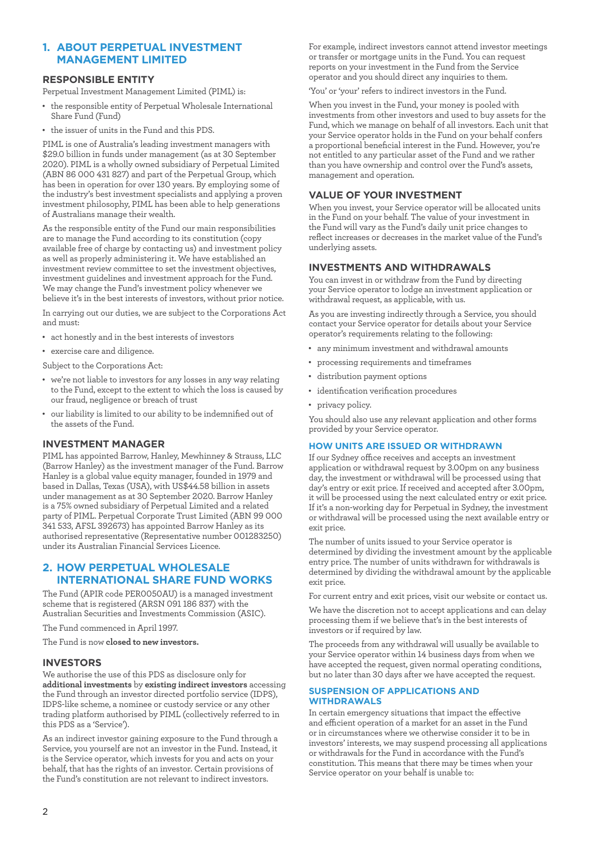#### **1. ABOUT PERPETUAL INVESTMENT MANAGEMENT LIMITED**

#### **RESPONSIBLE ENTITY**

Perpetual Investment Management Limited (PIML) is:

- the responsible entity of Perpetual Wholesale International Share Fund (Fund)
- • the issuer of units in the Fund and this PDS.

PIML is one of Australia's leading investment managers with \$29.0 billion in funds under management (as at 30 September 2020). PIML is a wholly owned subsidiary of Perpetual Limited (ABN 86 000 431 827) and part of the Perpetual Group, which has been in operation for over 130 years. By employing some of the industry's best investment specialists and applying a proven investment philosophy, PIML has been able to help generations of Australians manage their wealth.

As the responsible entity of the Fund our main responsibilities are to manage the Fund according to its constitution (copy available free of charge by contacting us) and investment policy as well as properly administering it. We have established an investment review committee to set the investment objectives, investment guidelines and investment approach for the Fund. We may change the Fund's investment policy whenever we believe it's in the best interests of investors, without prior notice.

In carrying out our duties, we are subject to the Corporations Act and must:

- • act honestly and in the best interests of investors
- • exercise care and diligence.
- Subject to the Corporations Act:
- • we're not liable to investors for any losses in any way relating to the Fund, except to the extent to which the loss is caused by our fraud, negligence or breach of trust
- our liability is limited to our ability to be indemnified out of the assets of the Fund.

#### **INVESTMENT MANAGER**

PIML has appointed Barrow, Hanley, Mewhinney & Strauss, LLC (Barrow Hanley) as the investment manager of the Fund. Barrow Hanley is a global value equity manager, founded in 1979 and based in Dallas, Texas (USA), with US\$44.58 billion in assets under management as at 30 September 2020. Barrow Hanley is a 75% owned subsidiary of Perpetual Limited and a related party of PIML. Perpetual Corporate Trust Limited (ABN 99 000 341 533, AFSL 392673) has appointed Barrow Hanley as its authorised representative (Representative number 001283250) under its Australian Financial Services Licence.

#### **2. HOW PERPETUAL WHOLESALE INTERNATIONAL SHARE FUND WORKS**

The Fund (APIR code PER0050AU) is a managed investment scheme that is registered (ARSN 091 186 837) with the Australian Securities and Investments Commission (ASIC).

The Fund commenced in April 1997.

The Fund is now **closed to new investors.**

#### **INVESTORS**

We authorise the use of this PDS as disclosure only for **additional investments** by **existing indirect investors** accessing the Fund through an investor directed portfolio service (IDPS), IDPS-like scheme, a nominee or custody service or any other trading platform authorised by PIML (collectively referred to in this PDS as a 'Service').

As an indirect investor gaining exposure to the Fund through a Service, you yourself are not an investor in the Fund. Instead, it is the Service operator, which invests for you and acts on your behalf, that has the rights of an investor. Certain provisions of the Fund's constitution are not relevant to indirect investors.

For example, indirect investors cannot attend investor meetings or transfer or mortgage units in the Fund. You can request reports on your investment in the Fund from the Service operator and you should direct any inquiries to them.

'You' or 'your' refers to indirect investors in the Fund.

When you invest in the Fund, your money is pooled with investments from other investors and used to buy assets for the Fund, which we manage on behalf of all investors. Each unit that your Service operator holds in the Fund on your behalf confers a proportional beneficial interest in the Fund. However, you're not entitled to any particular asset of the Fund and we rather than you have ownership and control over the Fund's assets, management and operation.

#### **VALUE OF YOUR INVESTMENT**

When you invest, your Service operator will be allocated units in the Fund on your behalf. The value of your investment in the Fund will vary as the Fund's daily unit price changes to reflect increases or decreases in the market value of the Fund's underlying assets.

#### **INVESTMENTS AND WITHDRAWALS**

You can invest in or withdraw from the Fund by directing your Service operator to lodge an investment application or withdrawal request, as applicable, with us.

As you are investing indirectly through a Service, you should contact your Service operator for details about your Service operator's requirements relating to the following:

- • any minimum investment and withdrawal amounts
- • processing requirements and timeframes
- • distribution payment options
- • identification verification procedures
- privacy policy.

You should also use any relevant application and other forms provided by your Service operator.

#### **HOW UNITS ARE ISSUED OR WITHDRAWN**

If our Sydney office receives and accepts an investment application or withdrawal request by 3.00pm on any business day, the investment or withdrawal will be processed using that day's entry or exit price. If received and accepted after 3.00pm, it will be processed using the next calculated entry or exit price. If it's a non-working day for Perpetual in Sydney, the investment or withdrawal will be processed using the next available entry or exit price.

The number of units issued to your Service operator is determined by dividing the investment amount by the applicable entry price. The number of units withdrawn for withdrawals is determined by dividing the withdrawal amount by the applicable exit price.

For current entry and exit prices, visit our website or contact us.

We have the discretion not to accept applications and can delay processing them if we believe that's in the best interests of investors or if required by law.

The proceeds from any withdrawal will usually be available to your Service operator within 14 business days from when we have accepted the request, given normal operating conditions, but no later than 30 days after we have accepted the request.

#### **SUSPENSION OF APPLICATIONS AND WITHDRAWALS**

In certain emergency situations that impact the effective and efficient operation of a market for an asset in the Fund or in circumstances where we otherwise consider it to be in investors' interests, we may suspend processing all applications or withdrawals for the Fund in accordance with the Fund's constitution. This means that there may be times when your Service operator on your behalf is unable to: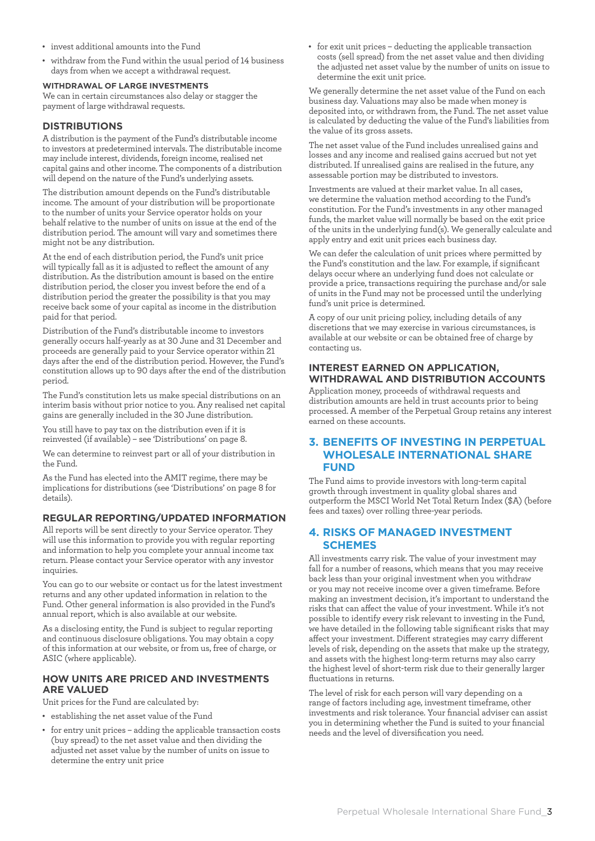- • invest additional amounts into the Fund
- • withdraw from the Fund within the usual period of 14 business days from when we accept a withdrawal request.

#### **WITHDRAWAL OF LARGE INVESTMENTS**

We can in certain circumstances also delay or stagger the payment of large withdrawal requests.

#### **DISTRIBUTIONS**

A distribution is the payment of the Fund's distributable income to investors at predetermined intervals. The distributable income may include interest, dividends, foreign income, realised net capital gains and other income. The components of a distribution will depend on the nature of the Fund's underlying assets.

The distribution amount depends on the Fund's distributable income. The amount of your distribution will be proportionate to the number of units your Service operator holds on your behalf relative to the number of units on issue at the end of the distribution period. The amount will vary and sometimes there might not be any distribution.

At the end of each distribution period, the Fund's unit price will typically fall as it is adjusted to reflect the amount of any distribution. As the distribution amount is based on the entire distribution period, the closer you invest before the end of a distribution period the greater the possibility is that you may receive back some of your capital as income in the distribution paid for that period.

Distribution of the Fund's distributable income to investors generally occurs half-yearly as at 30 June and 31 December and proceeds are generally paid to your Service operator within 21 days after the end of the distribution period. However, the Fund's constitution allows up to 90 days after the end of the distribution period.

The Fund's constitution lets us make special distributions on an interim basis without prior notice to you. Any realised net capital gains are generally included in the 30 June distribution.

You still have to pay tax on the distribution even if it is reinvested (if available) – see 'Distributions' on page 8.

We can determine to reinvest part or all of your distribution in the Fund.

As the Fund has elected into the AMIT regime, there may be implications for distributions (see 'Distributions' on page 8 for details).

#### **REGULAR REPORTING/UPDATED INFORMATION**

All reports will be sent directly to your Service operator. They will use this information to provide you with regular reporting and information to help you complete your annual income tax return. Please contact your Service operator with any investor inquiries.

You can go to our website or contact us for the latest investment returns and any other updated information in relation to the Fund. Other general information is also provided in the Fund's annual report, which is also available at our website.

As a disclosing entity, the Fund is subject to regular reporting and continuous disclosure obligations. You may obtain a copy of this information at our website, or from us, free of charge, or ASIC (where applicable).

#### **HOW UNITS ARE PRICED AND INVESTMENTS ARE VALUED**

Unit prices for the Fund are calculated by:

- • establishing the net asset value of the Fund
- for entry unit prices adding the applicable transaction costs (buy spread) to the net asset value and then dividing the adjusted net asset value by the number of units on issue to determine the entry unit price

• for exit unit prices – deducting the applicable transaction costs (sell spread) from the net asset value and then dividing the adjusted net asset value by the number of units on issue to determine the exit unit price.

We generally determine the net asset value of the Fund on each business day. Valuations may also be made when money is deposited into, or withdrawn from, the Fund. The net asset value is calculated by deducting the value of the Fund's liabilities from the value of its gross assets.

The net asset value of the Fund includes unrealised gains and losses and any income and realised gains accrued but not yet distributed. If unrealised gains are realised in the future, any assessable portion may be distributed to investors.

Investments are valued at their market value. In all cases, we determine the valuation method according to the Fund's constitution. For the Fund's investments in any other managed funds, the market value will normally be based on the exit price of the units in the underlying fund(s). We generally calculate and apply entry and exit unit prices each business day.

We can defer the calculation of unit prices where permitted by the Fund's constitution and the law. For example, if significant delays occur where an underlying fund does not calculate or provide a price, transactions requiring the purchase and/or sale of units in the Fund may not be processed until the underlying fund's unit price is determined.

A copy of our unit pricing policy, including details of any discretions that we may exercise in various circumstances, is available at our website or can be obtained free of charge by contacting us.

#### **INTEREST EARNED ON APPLICATION, WITHDRAWAL AND DISTRIBUTION ACCOUNTS**

Application money, proceeds of withdrawal requests and distribution amounts are held in trust accounts prior to being processed. A member of the Perpetual Group retains any interest earned on these accounts.

#### **3. BENEFITS OF INVESTING IN PERPETUAL WHOLESALE INTERNATIONAL SHARE FUND**

The Fund aims to provide investors with long-term capital growth through investment in quality global shares and outperform the MSCI World Net Total Return Index (\$A) (before fees and taxes) over rolling three-year periods.

#### **4. RISKS OF MANAGED INVESTMENT SCHEMES**

All investments carry risk. The value of your investment may fall for a number of reasons, which means that you may receive back less than your original investment when you withdraw or you may not receive income over a given timeframe. Before making an investment decision, it's important to understand the risks that can affect the value of your investment. While it's not possible to identify every risk relevant to investing in the Fund, we have detailed in the following table significant risks that may affect your investment. Different strategies may carry different levels of risk, depending on the assets that make up the strategy, and assets with the highest long-term returns may also carry the highest level of short-term risk due to their generally larger fluctuations in returns.

The level of risk for each person will vary depending on a range of factors including age, investment timeframe, other investments and risk tolerance. Your financial adviser can assist you in determining whether the Fund is suited to your financial needs and the level of diversification you need.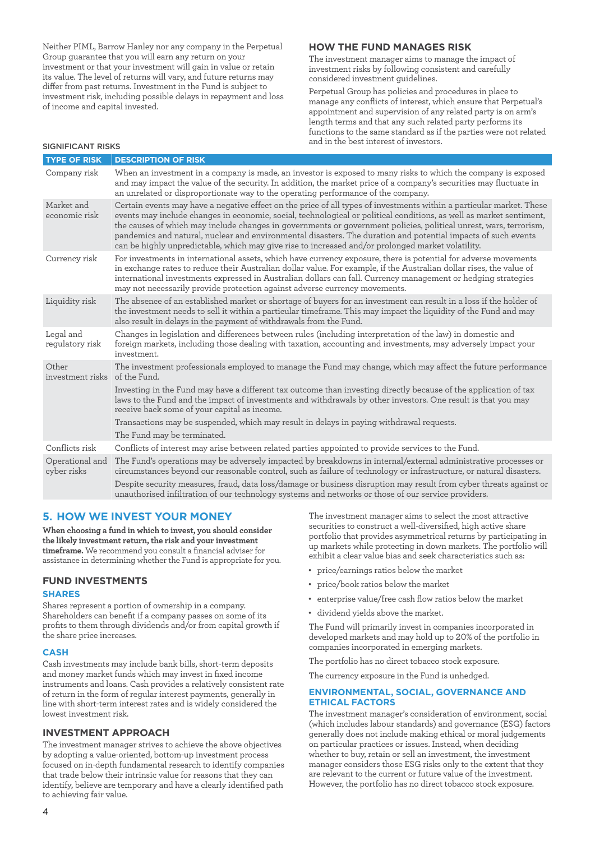Neither PIML, Barrow Hanley nor any company in the Perpetual Group guarantee that you will earn any return on your investment or that your investment will gain in value or retain its value. The level of returns will vary, and future returns may differ from past returns. Investment in the Fund is subject to investment risk, including possible delays in repayment and loss of income and capital invested.

#### **HOW THE FUND MANAGES RISK**

The investment manager aims to manage the impact of investment risks by following consistent and carefully considered investment guidelines.

Perpetual Group has policies and procedures in place to manage any conflicts of interest, which ensure that Perpetual's appointment and supervision of any related party is on arm's length terms and that any such related party performs its functions to the same standard as if the parties were not related and in the best interest of investors. SIGNIFICANT RISKS

| <b>TYPE OF RISK</b>            | <b>DESCRIPTION OF RISK</b>                                                                                                                                                                                                                                                                                                                                                                                                                                                                                                                                                             |
|--------------------------------|----------------------------------------------------------------------------------------------------------------------------------------------------------------------------------------------------------------------------------------------------------------------------------------------------------------------------------------------------------------------------------------------------------------------------------------------------------------------------------------------------------------------------------------------------------------------------------------|
| Company risk                   | When an investment in a company is made, an investor is exposed to many risks to which the company is exposed<br>and may impact the value of the security. In addition, the market price of a company's securities may fluctuate in<br>an unrelated or disproportionate way to the operating performance of the company.                                                                                                                                                                                                                                                               |
| Market and<br>economic risk    | Certain events may have a negative effect on the price of all types of investments within a particular market. These<br>events may include changes in economic, social, technological or political conditions, as well as market sentiment,<br>the causes of which may include changes in governments or government policies, political unrest, wars, terrorism,<br>pandemics and natural, nuclear and environmental disasters. The duration and potential impacts of such events<br>can be highly unpredictable, which may give rise to increased and/or prolonged market volatility. |
| Currency risk                  | For investments in international assets, which have currency exposure, there is potential for adverse movements<br>in exchange rates to reduce their Australian dollar value. For example, if the Australian dollar rises, the value of<br>international investments expressed in Australian dollars can fall. Currency management or hedging strategies<br>may not necessarily provide protection against adverse currency movements.                                                                                                                                                 |
| Liquidity risk                 | The absence of an established market or shortage of buyers for an investment can result in a loss if the holder of<br>the investment needs to sell it within a particular timeframe. This may impact the liquidity of the Fund and may<br>also result in delays in the payment of withdrawals from the Fund.                                                                                                                                                                                                                                                                           |
| Legal and<br>regulatory risk   | Changes in legislation and differences between rules (including interpretation of the law) in domestic and<br>foreign markets, including those dealing with taxation, accounting and investments, may adversely impact your<br>investment.                                                                                                                                                                                                                                                                                                                                             |
| Other<br>investment risks      | The investment professionals employed to manage the Fund may change, which may affect the future performance<br>of the Fund.                                                                                                                                                                                                                                                                                                                                                                                                                                                           |
|                                | Investing in the Fund may have a different tax outcome than investing directly because of the application of tax<br>laws to the Fund and the impact of investments and withdrawals by other investors. One result is that you may<br>receive back some of your capital as income.                                                                                                                                                                                                                                                                                                      |
|                                | Transactions may be suspended, which may result in delays in paying withdrawal requests.                                                                                                                                                                                                                                                                                                                                                                                                                                                                                               |
|                                | The Fund may be terminated.                                                                                                                                                                                                                                                                                                                                                                                                                                                                                                                                                            |
| Conflicts risk                 | Conflicts of interest may arise between related parties appointed to provide services to the Fund.                                                                                                                                                                                                                                                                                                                                                                                                                                                                                     |
| Operational and<br>cyber risks | The Fund's operations may be adversely impacted by breakdowns in internal/external administrative processes or<br>circumstances beyond our reasonable control, such as failure of technology or infrastructure, or natural disasters.                                                                                                                                                                                                                                                                                                                                                  |
|                                | Despite security measures, fraud, data loss/damage or business disruption may result from cyber threats against or<br>unauthorised infiltration of our technology systems and networks or those of our service providers.                                                                                                                                                                                                                                                                                                                                                              |

#### **5. HOW WE INVEST YOUR MONEY**

**When choosing a fund in which to invest, you should consider the likely investment return, the risk and your investment timeframe.** We recommend you consult a financial adviser for assistance in determining whether the Fund is appropriate for you.

#### **FUND INVESTMENTS**

#### **SHARES**

Shares represent a portion of ownership in a company. Shareholders can benefit if a company passes on some of its profits to them through dividends and/or from capital growth if the share price increases.

#### **CASH**

Cash investments may include bank bills, short-term deposits and money market funds which may invest in fixed income instruments and loans. Cash provides a relatively consistent rate of return in the form of regular interest payments, generally in line with short-term interest rates and is widely considered the lowest investment risk.

#### **INVESTMENT APPROACH**

The investment manager strives to achieve the above objectives by adopting a value-oriented, bottom-up investment process focused on in-depth fundamental research to identify companies that trade below their intrinsic value for reasons that they can identify, believe are temporary and have a clearly identified path to achieving fair value.

The investment manager aims to select the most attractive securities to construct a well-diversified, high active share portfolio that provides asymmetrical returns by participating in up markets while protecting in down markets. The portfolio will exhibit a clear value bias and seek characteristics such as:

- • price/earnings ratios below the market
- • price/book ratios below the market
- • enterprise value/free cash flow ratios below the market
- • dividend yields above the market.

The Fund will primarily invest in companies incorporated in developed markets and may hold up to 20% of the portfolio in companies incorporated in emerging markets.

The portfolio has no direct tobacco stock exposure.

The currency exposure in the Fund is unhedged.

#### **ENVIRONMENTAL, SOCIAL, GOVERNANCE AND ETHICAL FACTORS**

The investment manager's consideration of environment, social (which includes labour standards) and governance (ESG) factors generally does not include making ethical or moral judgements on particular practices or issues. Instead, when deciding whether to buy, retain or sell an investment, the investment manager considers those ESG risks only to the extent that they are relevant to the current or future value of the investment. However, the portfolio has no direct tobacco stock exposure.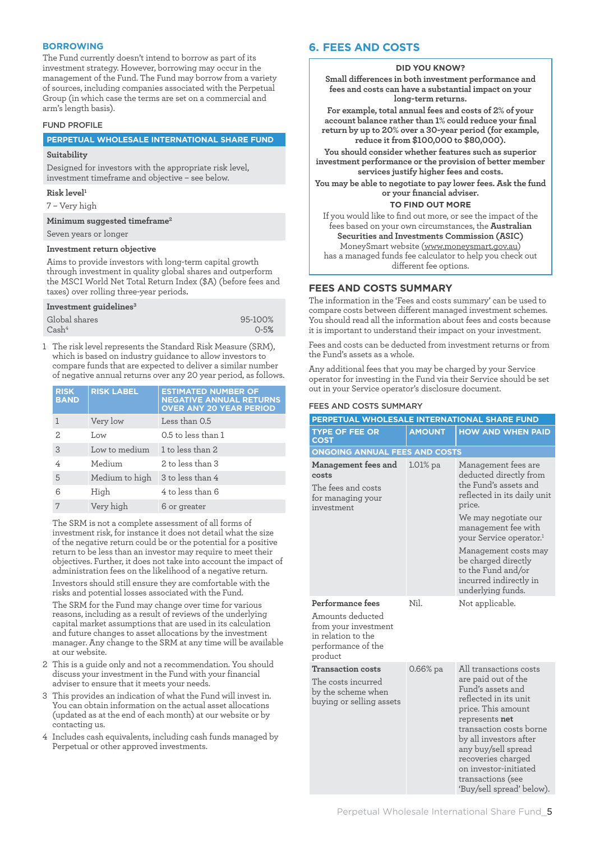#### **BORROWING**

The Fund currently doesn't intend to borrow as part of its investment strategy. However, borrowing may occur in the management of the Fund. The Fund may borrow from a variety of sources, including companies associated with the Perpetual Group (in which case the terms are set on a commercial and arm's length basis).

#### FUND PROFILE

#### **PERPETUAL WHOLESALE INTERNATIONAL SHARE FUND**

#### **Suitability**

Designed for investors with the appropriate risk level, investment timeframe and objective – see below.

#### **Risk level1**

7 – Very high

**Minimum suggested timeframe2**

Seven years or longer

#### **Investment return objective**

Aims to provide investors with long-term capital growth through investment in quality global shares and outperform the MSCI World Net Total Return Index (\$A) (before fees and taxes) over rolling three-year periods.

#### **Investment guidelines3**

| Global shares     | 95-100%  |
|-------------------|----------|
| Cash <sup>4</sup> | $0 - 5%$ |

1 The risk level represents the Standard Risk Measure (SRM), which is based on industry guidance to allow investors to compare funds that are expected to deliver a similar number of negative annual returns over any 20 year period, as follows.

| <b>RISK</b><br><b>BAND</b> | <b>RISK LABEL</b> | <b>ESTIMATED NUMBER OF</b><br><b>NEGATIVE ANNUAL RETURNS</b><br><b>OVER ANY 20 YEAR PERIOD</b> |
|----------------------------|-------------------|------------------------------------------------------------------------------------------------|
|                            | Very low          | Less than 0.5                                                                                  |
| 2                          | Low               | 0.5 to less than 1                                                                             |
| 3                          | Low to medium     | 1 to less than 2                                                                               |
| 4                          | Medium            | 2 to less than 3                                                                               |
| 5                          | Medium to high    | 3 to less than 4                                                                               |
| 6                          | High              | 4 to less than 6                                                                               |
|                            | Very high         | 6 or greater                                                                                   |

The SRM is not a complete assessment of all forms of investment risk, for instance it does not detail what the size of the negative return could be or the potential for a positive return to be less than an investor may require to meet their objectives. Further, it does not take into account the impact of administration fees on the likelihood of a negative return. Investors should still ensure they are comfortable with the risks and potential losses associated with the Fund.

The SRM for the Fund may change over time for various reasons, including as a result of reviews of the underlying capital market assumptions that are used in its calculation and future changes to asset allocations by the investment manager. Any change to the SRM at any time will be available at our website.

- 2 This is a guide only and not a recommendation. You should discuss your investment in the Fund with your financial adviser to ensure that it meets your needs.
- 3 This provides an indication of what the Fund will invest in. You can obtain information on the actual asset allocations (updated as at the end of each month) at our website or by contacting us.
- 4 Includes cash equivalents, including cash funds managed by Perpetual or other approved investments.

#### **6. FEES AND COSTS**

#### **DID YOU KNOW?**

**Small differences in both investment performance and fees and costs can have a substantial impact on your long-term returns.**

**For example, total annual fees and costs of 2% of your account balance rather than 1% could reduce your final return by up to 20% over a 30-year period (for example, reduce it from \$100,000 to \$80,000).**

**You should consider whether features such as superior investment performance or the provision of better member services justify higher fees and costs.**

**You may be able to negotiate to pay lower fees. Ask the fund or your financial adviser.**

#### **TO FIND OUT MORE**

If you would like to find out more, or see the impact of the fees based on your own circumstances, the **Australian Securities and Investments Commission (ASIC)** MoneySmart website (www.moneysmart.gov.au) has a managed funds fee calculator to help you check out different fee options.

#### **FEES AND COSTS SUMMARY**

The information in the 'Fees and costs summary' can be used to compare costs between different managed investment schemes. You should read all the information about fees and costs because it is important to understand their impact on your investment.

Fees and costs can be deducted from investment returns or from the Fund's assets as a whole.

Any additional fees that you may be charged by your Service operator for investing in the Fund via their Service should be set out in your Service operator's disclosure document.

#### FEES AND COSTS SUMMARY

| PERPETUAL WHOLESALE INTERNATIONAL SHARE FUND                                                                        |               |                                                                                                                                                                                                                                                                                                                           |
|---------------------------------------------------------------------------------------------------------------------|---------------|---------------------------------------------------------------------------------------------------------------------------------------------------------------------------------------------------------------------------------------------------------------------------------------------------------------------------|
| <b>TYPE OF FEE OR</b><br><b>COST</b>                                                                                | <b>AMOUNT</b> | <b>HOW AND WHEN PAID</b>                                                                                                                                                                                                                                                                                                  |
| ONGOING ANNUAL FEES AND COSTS                                                                                       |               |                                                                                                                                                                                                                                                                                                                           |
| Management fees and<br>costs<br>The fees and costs<br>for managing your<br>investment                               | 1.01% pa      | Management fees are<br>deducted directly from<br>the Fund's assets and<br>reflected in its daily unit<br>price.<br>We may negotiate our<br>management fee with<br>your Service operator. <sup>1</sup><br>Management costs may<br>be charged directly<br>to the Fund and/or<br>incurred indirectly in<br>underlying funds. |
| Performance fees<br>Amounts deducted<br>from your investment<br>in relation to the<br>performance of the<br>product | Nil.          | Not applicable.                                                                                                                                                                                                                                                                                                           |
| <b>Transaction costs</b><br>The costs incurred<br>by the scheme when<br>buying or selling assets                    | 0.66% pa      | All transactions costs<br>are paid out of the<br>Fund's assets and<br>reflected in its unit<br>price. This amount<br>represents net<br>transaction costs borne<br>by all investors after<br>any buy/sell spread<br>recoveries charged<br>on investor-initiated<br>transactions (see<br>'Buy/sell spread' below).          |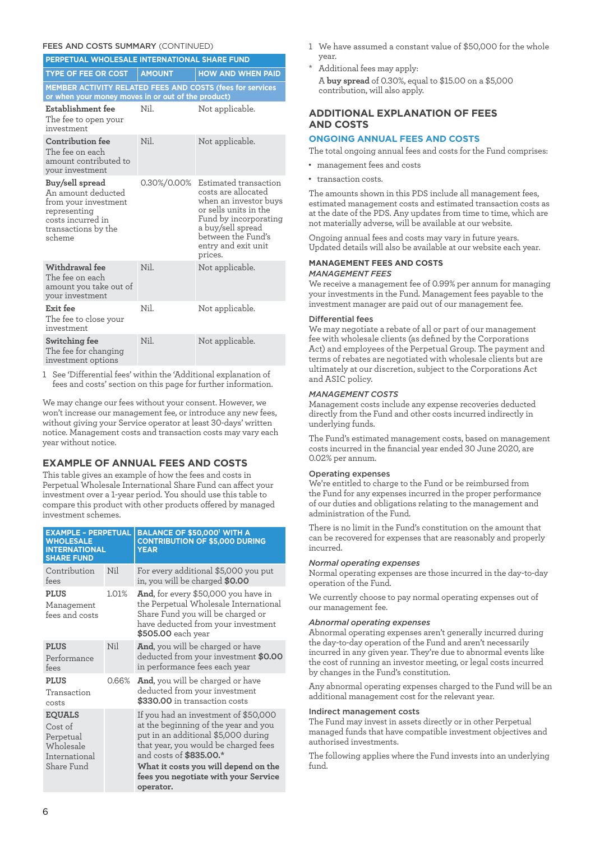#### FEES AND COSTS SUMMARY (CONTINUED)

| 30111171111<br>PERPETUAL WHOLESALE INTERNATIONAL SHARE FUND                                                                         |               |                                                                                                                                                                                                      |  |
|-------------------------------------------------------------------------------------------------------------------------------------|---------------|------------------------------------------------------------------------------------------------------------------------------------------------------------------------------------------------------|--|
| <b>TYPE OF FEE OR COST</b>                                                                                                          | <b>AMOUNT</b> | <b>HOW AND WHEN PAID</b>                                                                                                                                                                             |  |
| <b>MEMBER ACTIVITY RELATED FEES AND COSTS (fees for services</b><br>or when your money moves in or out of the product)              |               |                                                                                                                                                                                                      |  |
| Establishment fee<br>The fee to open your<br>investment                                                                             | Nil.          | Not applicable.                                                                                                                                                                                      |  |
| Contribution fee<br>The fee on each<br>amount contributed to<br>your investment                                                     | Nil.          | Not applicable.                                                                                                                                                                                      |  |
| Buy/sell spread<br>An amount deducted<br>from your investment<br>representing<br>costs incurred in<br>transactions by the<br>scheme | 0.30%/0.00%   | Estimated transaction<br>costs are allocated<br>when an investor buys<br>or sells units in the<br>Fund by incorporating<br>a buy/sell spread<br>between the Fund's<br>entry and exit unit<br>prices. |  |
| Withdrawal fee<br>The fee on each<br>amount you take out of<br>your investment                                                      | Nil.          | Not applicable.                                                                                                                                                                                      |  |
| Exit fee<br>The fee to close your<br>investment                                                                                     | Nil.          | Not applicable.                                                                                                                                                                                      |  |
| Switching fee<br>The fee for changing<br>investment options                                                                         | Nil           | Not applicable.                                                                                                                                                                                      |  |

1 See 'Differential fees' within the 'Additional explanation of fees and costs' section on this page for further information.

We may change our fees without your consent. However, we won't increase our management fee, or introduce any new fees, without giving your Service operator at least 30-days' written notice. Management costs and transaction costs may vary each year without notice.

#### **EXAMPLE OF ANNUAL FEES AND COSTS**

This table gives an example of how the fees and costs in Perpetual Wholesale International Share Fund can affect your investment over a 1-year period. You should use this table to compare this product with other products offered by managed investment schemes.

| <b>EXAMPLE - PERPETUAL</b><br><b>WHOLESALE</b><br><b>INTERNATIONAL</b><br><b>SHARE FUND</b> |       | BALANCE OF \$50,000' WITH A<br><b>CONTRIBUTION OF \$5,000 DURING</b><br><b>YEAR</b>                                                                                                                                                                                                 |  |
|---------------------------------------------------------------------------------------------|-------|-------------------------------------------------------------------------------------------------------------------------------------------------------------------------------------------------------------------------------------------------------------------------------------|--|
| Contribution<br>fees                                                                        | Nil   | For every additional \$5,000 you put<br>in, you will be charged \$0.00                                                                                                                                                                                                              |  |
| <b>PLUS</b><br>Management<br>fees and costs                                                 | 1.01% | <b>And,</b> for every \$50,000 you have in<br>the Perpetual Wholesale International<br>Share Fund you will be charged or<br>have deducted from your investment<br>\$505.00 each year                                                                                                |  |
| <b>PLUS</b><br>Performance<br>fees                                                          | Nil   | <b>And</b> , you will be charged or have<br>deducted from your investment \$0.00<br>in performance fees each year                                                                                                                                                                   |  |
| <b>PLUS</b><br>Transaction<br>costs                                                         | 0.66% | <b>And</b> , you will be charged or have<br>deducted from your investment<br>\$330.00 in transaction costs                                                                                                                                                                          |  |
| <b>EQUALS</b><br>Cost of<br>Perpetual<br>Wholesale<br>International<br>Share Fund           |       | If you had an investment of \$50,000<br>at the beginning of the year and you<br>put in an additional \$5,000 during<br>that year, you would be charged fees<br>and costs of \$835.00.*<br>What it costs you will depend on the<br>fees you negotiate with your Service<br>operator. |  |

- 1 We have assumed a constant value of \$50,000 for the whole year.
- Additional fees may apply: A **buy spread** of 0.30%, equal to \$15.00 on a \$5,000 contribution, will also apply.

#### **ADDITIONAL EXPLANATION OF FEES AND COSTS**

#### **ONGOING ANNUAL FEES AND COSTS**

The total ongoing annual fees and costs for the Fund comprises:

• management fees and costs • transaction costs.

The amounts shown in this PDS include all management fees, estimated management costs and estimated transaction costs as at the date of the PDS. Any updates from time to time, which are not materially adverse, will be available at our website.

Ongoing annual fees and costs may vary in future years. Updated details will also be available at our website each year.

### **MANAGEMENT FEES AND COSTS**

#### *MANAGEMENT FEES*

We receive a management fee of 0.99% per annum for managing your investments in the Fund. Management fees payable to the investment manager are paid out of our management fee.

#### Differential fees

We may negotiate a rebate of all or part of our management fee with wholesale clients (as defined by the Corporations Act) and employees of the Perpetual Group. The payment and terms of rebates are negotiated with wholesale clients but are ultimately at our discretion, subject to the Corporations Act and ASIC policy.

#### *MANAGEMENT COSTS*

Management costs include any expense recoveries deducted directly from the Fund and other costs incurred indirectly in underlying funds.

The Fund's estimated management costs, based on management costs incurred in the financial year ended 30 June 2020, are 0.02% per annum.

#### Operating expenses

We're entitled to charge to the Fund or be reimbursed from the Fund for any expenses incurred in the proper performance of our duties and obligations relating to the management and administration of the Fund.

There is no limit in the Fund's constitution on the amount that can be recovered for expenses that are reasonably and properly incurred.

#### *Normal operating expenses*

Normal operating expenses are those incurred in the day-to-day operation of the Fund.

We currently choose to pay normal operating expenses out of our management fee.

#### *Abnormal operating expenses*

Abnormal operating expenses aren't generally incurred during the day-to-day operation of the Fund and aren't necessarily incurred in any given year. They're due to abnormal events like the cost of running an investor meeting, or legal costs incurred by changes in the Fund's constitution.

Any abnormal operating expenses charged to the Fund will be an additional management cost for the relevant year.

#### Indirect management costs

The Fund may invest in assets directly or in other Perpetual managed funds that have compatible investment objectives and authorised investments.

The following applies where the Fund invests into an underlying fund.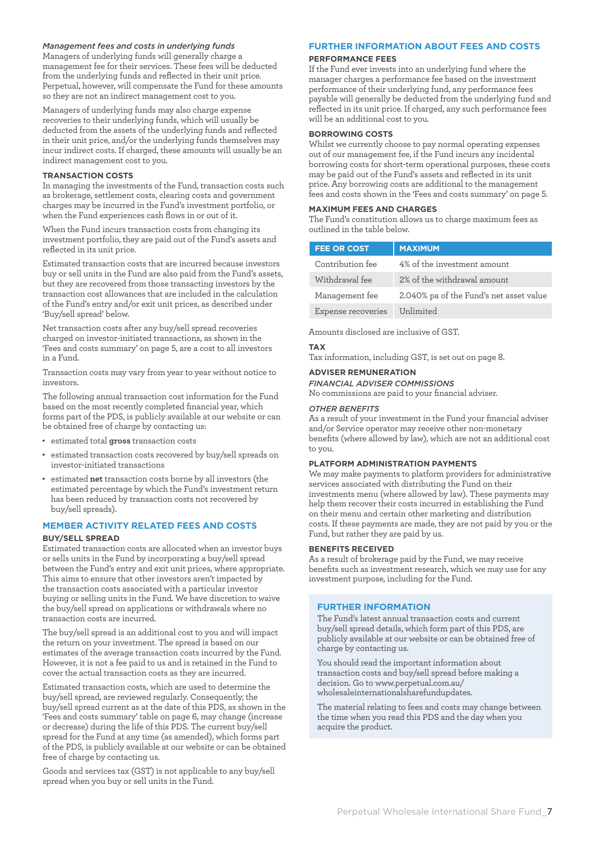#### *Management fees and costs in underlying funds*

Managers of underlying funds will generally charge a management fee for their services. These fees will be deducted from the underlying funds and reflected in their unit price. Perpetual, however, will compensate the Fund for these amounts so they are not an indirect management cost to you.

Managers of underlying funds may also charge expense recoveries to their underlying funds, which will usually be deducted from the assets of the underlying funds and reflected in their unit price, and/or the underlying funds themselves may incur indirect costs. If charged, these amounts will usually be an indirect management cost to you.

#### **TRANSACTION COSTS**

In managing the investments of the Fund, transaction costs such as brokerage, settlement costs, clearing costs and government charges may be incurred in the Fund's investment portfolio, or when the Fund experiences cash flows in or out of it.

When the Fund incurs transaction costs from changing its investment portfolio, they are paid out of the Fund's assets and reflected in its unit price.

Estimated transaction costs that are incurred because investors buy or sell units in the Fund are also paid from the Fund's assets, but they are recovered from those transacting investors by the transaction cost allowances that are included in the calculation of the Fund's entry and/or exit unit prices, as described under 'Buy/sell spread' below.

Net transaction costs after any buy/sell spread recoveries charged on investor-initiated transactions, as shown in the 'Fees and costs summary' on page 5, are a cost to all investors in a Fund.

Transaction costs may vary from year to year without notice to investors.

The following annual transaction cost information for the Fund based on the most recently completed financial year, which forms part of the PDS, is publicly available at our website or can be obtained free of charge by contacting us:

- • estimated total **gross** transaction costs
- estimated transaction costs recovered by buy/sell spreads on investor-initiated transactions
- • estimated **net** transaction costs borne by all investors (the estimated percentage by which the Fund's investment return has been reduced by transaction costs not recovered by buy/sell spreads).

#### **MEMBER ACTIVITY RELATED FEES AND COSTS**

#### **BUY/SELL SPREAD**

Estimated transaction costs are allocated when an investor buys or sells units in the Fund by incorporating a buy/sell spread between the Fund's entry and exit unit prices, where appropriate. This aims to ensure that other investors aren't impacted by the transaction costs associated with a particular investor buying or selling units in the Fund. We have discretion to waive the buy/sell spread on applications or withdrawals where no transaction costs are incurred.

The buy/sell spread is an additional cost to you and will impact the return on your investment. The spread is based on our estimates of the average transaction costs incurred by the Fund. However, it is not a fee paid to us and is retained in the Fund to cover the actual transaction costs as they are incurred.

Estimated transaction costs, which are used to determine the buy/sell spread, are reviewed regularly. Consequently, the buy/sell spread current as at the date of this PDS, as shown in the 'Fees and costs summary' table on page 6, may change (increase or decrease) during the life of this PDS. The current buy/sell spread for the Fund at any time (as amended), which forms part of the PDS, is publicly available at our website or can be obtained free of charge by contacting us.

Goods and services tax (GST) is not applicable to any buy/sell spread when you buy or sell units in the Fund.

#### **FURTHER INFORMATION ABOUT FEES AND COSTS**

#### **PERFORMANCE FEES**

If the Fund ever invests into an underlying fund where the manager charges a performance fee based on the investment performance of their underlying fund, any performance fees payable will generally be deducted from the underlying fund and reflected in its unit price. If charged, any such performance fees will be an additional cost to you.

#### **BORROWING COSTS**

Whilst we currently choose to pay normal operating expenses out of our management fee, if the Fund incurs any incidental borrowing costs for short-term operational purposes, these costs may be paid out of the Fund's assets and reflected in its unit price. Any borrowing costs are additional to the management fees and costs shown in the 'Fees and costs summary' on page 5.

#### **MAXIMUM FEES AND CHARGES**

The Fund's constitution allows us to charge maximum fees as outlined in the table below.

| <b>FEE OR COST</b> | <b>MAXIMUM</b>                          |
|--------------------|-----------------------------------------|
| Contribution fee   | 4% of the investment amount             |
| Withdrawal fee     | 2% of the withdrawal amount             |
| Management fee     | 2.040% pa of the Fund's net asset value |
| Expense recoveries | Unlimited                               |

Amounts disclosed are inclusive of GST.

#### **TAX**

Tax information, including GST, is set out on page 8.

#### **ADVISER REMUNERATION**

*FINANCIAL ADVISER COMMISSIONS*

No commissions are paid to your financial adviser.

#### *OTHER BENEFITS*

As a result of your investment in the Fund your financial adviser and/or Service operator may receive other non-monetary benefits (where allowed by law), which are not an additional cost to you.

#### **PLATFORM ADMINISTRATION PAYMENTS**

We may make payments to platform providers for administrative services associated with distributing the Fund on their investments menu (where allowed by law). These payments may help them recover their costs incurred in establishing the Fund on their menu and certain other marketing and distribution costs. If these payments are made, they are not paid by you or the Fund, but rather they are paid by us.

#### **BENEFITS RECEIVED**

As a result of brokerage paid by the Fund, we may receive benefits such as investment research, which we may use for any investment purpose, including for the Fund.

#### **FURTHER INFORMATION**

The Fund's latest annual transaction costs and current buy/sell spread details, which form part of this PDS, are publicly available at our website or can be obtained free of charge by contacting us.

You should read the important information about transaction costs and buy/sell spread before making a decision. Go to www.perpetual.com.au/ wholesaleinternationalsharefundupdates.

The material relating to fees and costs may change between the time when you read this PDS and the day when you acquire the product.